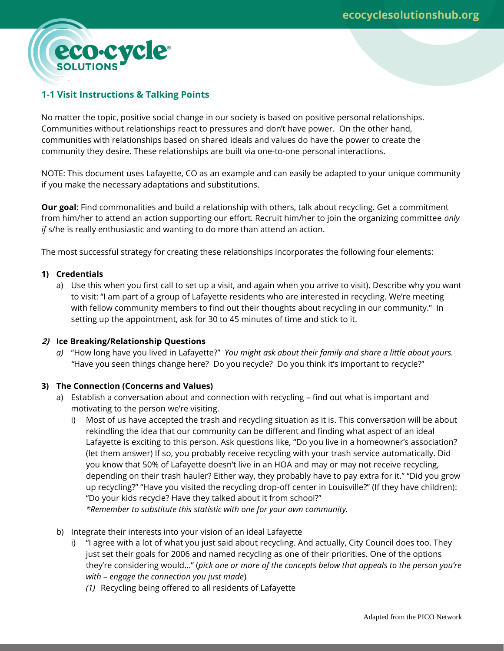

eco.cycle

No matter the topic, positive social change in our society is based on positive personal relationships. Communities without relationships react to pressures and don't have power. On the other hand, communities with relationships based on shared ideals and values do have the power to create the community they desire. These relationships are built via one-to-one personal interactions.

NOTE: This document uses Lafayette, CO as an example and can easily be adapted to your unique community if you make the necessary adaptations and substitutions.

**Our goal**: Find commonalities and build a relationship with others, talk about recycling. Get a commitment from him/her to attend an action supporting our effort. Recruit him/her to join the organizing committee *only if* s/he is really enthusiastic and wanting to do more than attend an action.

The most successful strategy for creating these relationships incorporates the following four elements:

### **1) Credentials**

a) Use this when you first call to set up a visit, and again when you arrive to visit). Describe why you want to visit: "I am part of a group of Lafayette residents who are interested in recycling. We're meeting with fellow community members to find out their thoughts about recycling in our community." In setting up the appointment, ask for 30 to 45 minutes of time and stick to it.

### **2) Ice Breaking/Relationship Questions**

*a)* "How long have you lived in Lafayette?" *You might ask about their family and share a little about yours. "*Have you seen things change here? Do you recycle? Do you think it's important to recycle?"

# **3) The Connection (Concerns and Values)**

- a) Establish a conversation about and connection with recycling find out what is important and motivating to the person we're visiting.
	- i) Most of us have accepted the trash and recycling situation as it is. This conversation will be about rekindling the idea that our community can be different and finding what aspect of an ideal Lafayette is exciting to this person. Ask questions like, "Do you live in a homeowner's association? (let them answer) If so, you probably receive recycling with your trash service automatically. Did you know that 50% of Lafayette doesn't live in an HOA and may or may not receive recycling, depending on their trash hauler? Either way, they probably have to pay extra for it." "Did you grow up recycling?" "Have you visited the recycling drop-off center in Louisville?" (If they have children): "Do your kids recycle? Have they talked about it from school?"

*\*Remember to substitute this statistic with one for your own community.*

- b) Integrate their interests into your vision of an ideal Lafayette
	- i) "I agree with a lot of what you just said about recycling. And actually, City Council does too. They just set their goals for 2006 and named recycling as one of their priorities. One of the options they're considering would…" (*pick one or more of the concepts below that appeals to the person you're with – engage the connection you just made*)
		- *(1)* Recycling being offered to all residents of Lafayette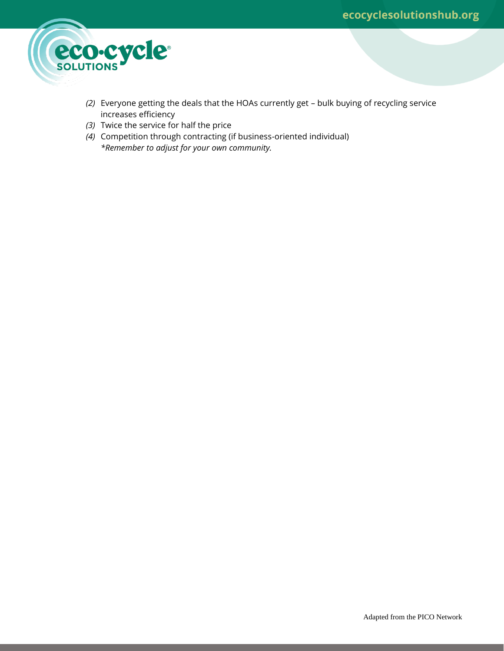

- *(2)* Everyone getting the deals that the HOAs currently get bulk buying of recycling service increases efficiency
- *(3)* Twice the service for half the price
- *(4)* Competition through contracting (if business-oriented individual) *\*Remember to adjust for your own community.*